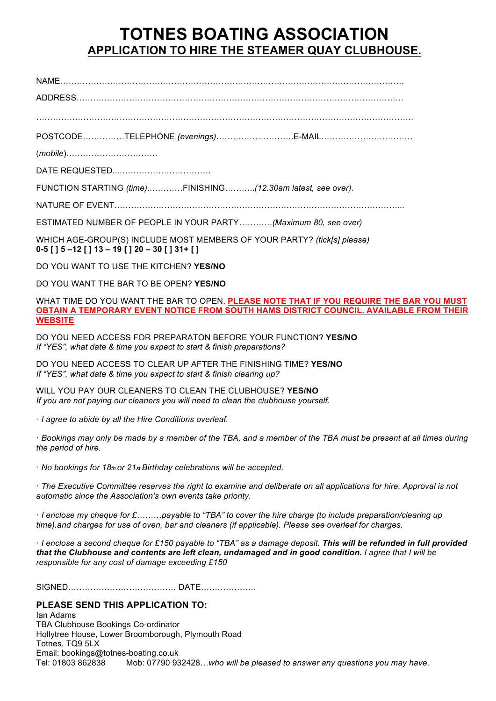# **TOTNES BOATING ASSOCIATION APPLICATION TO HIRE THE STEAMER QUAY CLUBHOUSE.**

NAME…………………………………………………………………………………………………………….

ADDRESS……………………………………………………………………………………………………….

……………………………………………………………………………………………………………………….

POSTCODE……………TELEPHONE *(evenings)*……………………….E-MAIL……………………………

(*mobile*)……………………………

DATE REQUESTED...……………………………

FUNCTION STARTING *(time)*.…………FINISHING………..*(12.30am latest, see over).* 

NATURE OF EVENT…………………………………………………………………………………………...

ESTIMATED NUMBER OF PEOPLE IN YOUR PARTY*…………(Maximum 80, see over)* 

WHICH AGE-GROUP(S) INCLUDE MOST MEMBERS OF YOUR PARTY? *(tick[s] please)*  **0-5 [ ] 5 –12 [ ] 13 – 19 [ ] 20 – 30 [ ] 31+ [ ]** 

DO YOU WANT TO USE THE KITCHEN? **YES/NO** 

DO YOU WANT THE BAR TO BE OPEN? **YES/NO** 

WHAT TIME DO YOU WANT THE BAR TO OPEN. **PLEASE NOTE THAT IF YOU REQUIRE THE BAR YOU MUST OBTAIN A TEMPORARY EVENT NOTICE FROM SOUTH HAMS DISTRICT COUNCIL. AVAILABLE FROM THEIR WEBSITE**

DO YOU NEED ACCESS FOR PREPARATON BEFORE YOUR FUNCTION? **YES/NO**  *If "YES", what date & time you expect to start & finish preparations?* 

DO YOU NEED ACCESS TO CLEAR UP AFTER THE FINISHING TIME? **YES/NO**  *If "YES", what date & time you expect to start & finish clearing up?* 

WILL YOU PAY OUR CLEANERS TO CLEAN THE CLUBHOUSE? **YES/NO**  *If you are not paying our cleaners you will need to clean the clubhouse yourself.* 

· *I agree to abide by all the Hire Conditions overleaf.* 

· *Bookings may only be made by a member of the TBA, and a member of the TBA must be present at all times during the period of hire.* 

· *No bookings for 18th or 21st Birthday celebrations will be accepted.* 

· *The Executive Committee reserves the right to examine and deliberate on all applications for hire. Approval is not automatic since the Association's own events take priority.* 

· *I enclose my cheque for £………payable to "TBA" to cover the hire charge (to include preparation/clearing up time).and charges for use of oven, bar and cleaners (if applicable). Please see overleaf for charges.* 

· *I enclose a second cheque for £150 payable to "TBA" as a damage deposit. This will be refunded in full provided that the Clubhouse and contents are left clean, undamaged and in good condition. I agree that I will be responsible for any cost of damage exceeding £150* 

SIGNED………………………………… DATE………………..

## **PLEASE SEND THIS APPLICATION TO:**

Ian Adams TBA Clubhouse Bookings Co-ordinator Hollytree House, Lower Broomborough, Plymouth Road Totnes, TQ9 5LX Email: bookings@totnes-boating.co.uk Tel: 01803 862838 Mob: 07790 932428…*who will be pleased to answer any questions you may have*.